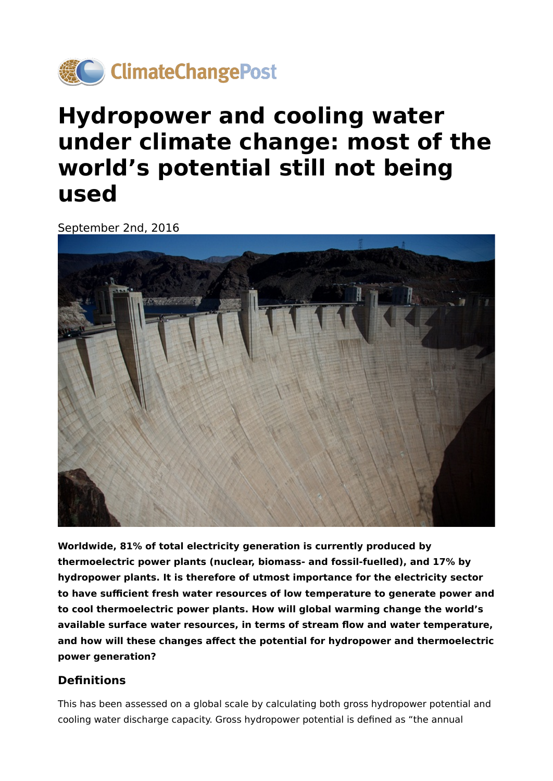

# **Hydropower and cooling water under climate change: most of the world's potential still not being used**

September 2nd, 2016



**Worldwide, 81% of total electricity generation is currently produced by thermoelectric power plants (nuclear, biomass- and fossil-fuelled), and 17% by hydropower plants. It is therefore of utmost importance for the electricity sector to have sufficient fresh water resources of low temperature to generate power and to cool thermoelectric power plants. How will global warming change the world's available surface water resources, in terms of stream flow and water temperature, and how will these changes affect the potential for hydropower and thermoelectric power generation?**

# **Definitions**

This has been assessed on a global scale by calculating both gross hydropower potential and cooling water discharge capacity. Gross hydropower potential is defined as "the annual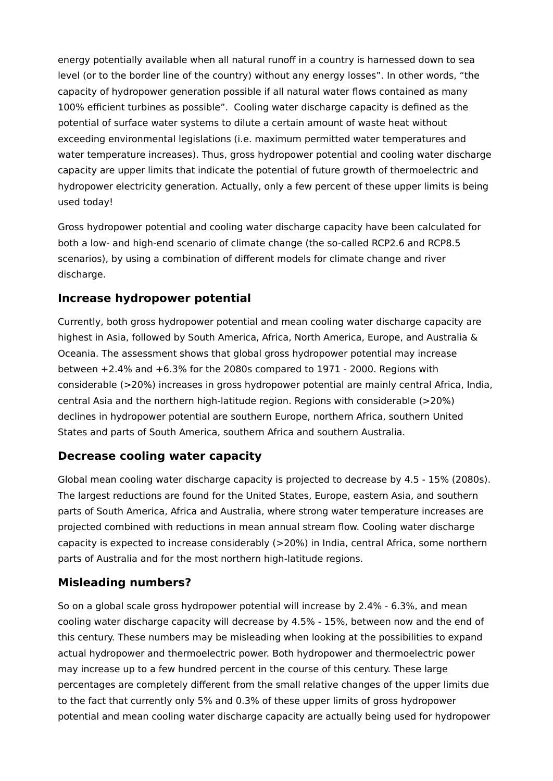energy potentially available when all natural runoff in a country is harnessed down to sea level (or to the border line of the country) without any energy losses". In other words, "the capacity of hydropower generation possible if all natural water flows contained as many 100% efficient turbines as possible". Cooling water discharge capacity is defined as the potential of surface water systems to dilute a certain amount of waste heat without exceeding environmental legislations (i.e. maximum permitted water temperatures and water temperature increases). Thus, gross hydropower potential and cooling water discharge capacity are upper limits that indicate the potential of future growth of thermoelectric and hydropower electricity generation. Actually, only a few percent of these upper limits is being used today!

Gross hydropower potential and cooling water discharge capacity have been calculated for both a low- and high-end scenario of climate change (the so-called RCP2.6 and RCP8.5 scenarios), by using a combination of different models for climate change and river discharge.

### **Increase hydropower potential**

Currently, both gross hydropower potential and mean cooling water discharge capacity are highest in Asia, followed by South America, Africa, North America, Europe, and Australia & Oceania. The assessment shows that global gross hydropower potential may increase between +2.4% and +6.3% for the 2080s compared to 1971 - 2000. Regions with considerable (>20%) increases in gross hydropower potential are mainly central Africa, India, central Asia and the northern high-latitude region. Regions with considerable (>20%) declines in hydropower potential are southern Europe, northern Africa, southern United States and parts of South America, southern Africa and southern Australia.

# **Decrease cooling water capacity**

Global mean cooling water discharge capacity is projected to decrease by 4.5 - 15% (2080s). The largest reductions are found for the United States, Europe, eastern Asia, and southern parts of South America, Africa and Australia, where strong water temperature increases are projected combined with reductions in mean annual stream flow. Cooling water discharge capacity is expected to increase considerably (>20%) in India, central Africa, some northern parts of Australia and for the most northern high-latitude regions.

# **Misleading numbers?**

So on a global scale gross hydropower potential will increase by 2.4% - 6.3%, and mean cooling water discharge capacity will decrease by 4.5% - 15%, between now and the end of this century. These numbers may be misleading when looking at the possibilities to expand actual hydropower and thermoelectric power. Both hydropower and thermoelectric power may increase up to a few hundred percent in the course of this century. These large percentages are completely different from the small relative changes of the upper limits due to the fact that currently only 5% and 0.3% of these upper limits of gross hydropower potential and mean cooling water discharge capacity are actually being used for hydropower